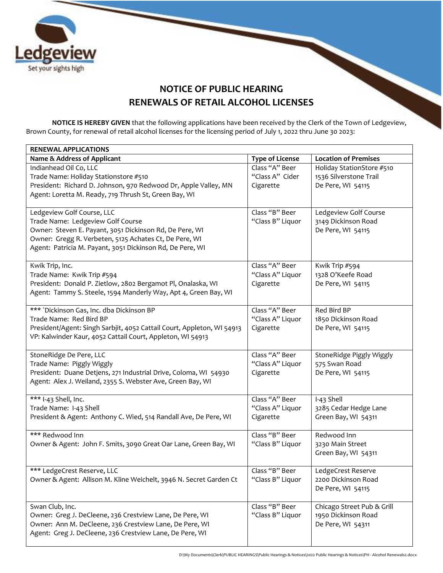

## **NOTICE OF PUBLIC HEARING RENEWALS OF RETAIL ALCOHOL LICENSES**

**NOTICE IS HEREBY GIVEN** that the following applications have been received by the Clerk of the Town of Ledgeview, Brown County, for renewal of retail alcohol licenses for the licensing period of July 1, 2022 thru June 30 2023:

| <b>RENEWAL APPLICATIONS</b>                                            |                                    |                                           |
|------------------------------------------------------------------------|------------------------------------|-------------------------------------------|
| Name & Address of Applicant                                            | <b>Type of License</b>             | <b>Location of Premises</b>               |
| Indianhead Oil Co, LLC                                                 | Class "A" Beer                     | Holiday StationStore #510                 |
| Trade Name: Holiday Stationstore #510                                  | "Class A" Cider                    | 1536 Silverstone Trail                    |
| President: Richard D. Johnson, 970 Redwood Dr, Apple Valley, MN        | Cigarette                          | De Pere, WI 54115                         |
| Agent: Loretta M. Ready, 719 Thrush St, Green Bay, WI                  |                                    |                                           |
|                                                                        |                                    |                                           |
| Ledgeview Golf Course, LLC                                             | Class "B" Beer                     | Ledgeview Golf Course                     |
| Trade Name: Ledgeview Golf Course                                      | "Class B" Liquor                   | 3149 Dickinson Road                       |
| Owner: Steven E. Payant, 3051 Dickinson Rd, De Pere, WI                |                                    | De Pere, WI 54115                         |
| Owner: Gregg R. Verbeten, 5125 Achates Ct, De Pere, WI                 |                                    |                                           |
| Agent: Patricia M. Payant, 3051 Dickinson Rd, De Pere, WI              |                                    |                                           |
| Kwik Trip, Inc.                                                        | Class "A" Beer                     | Kwik Trip #594                            |
| Trade Name: Kwik Trip #594                                             | "Class A" Liquor                   | 1328 O'Keefe Road                         |
| President: Donald P. Zietlow, 2802 Bergamot Pl, Onalaska, WI           | Cigarette                          | De Pere, WI 54115                         |
| Agent: Tammy S. Steele, 1594 Manderly Way, Apt 4, Green Bay, WI        |                                    |                                           |
|                                                                        |                                    |                                           |
| *** `Dickinson Gas, Inc. dba Dickinson BP                              | Class "A" Beer                     | Red Bird BP                               |
| Trade Name: Red Bird BP                                                | "Class A" Liquor                   | 1850 Dickinson Road                       |
| President/Agent: Singh Sarbjit, 4052 Cattail Court, Appleton, WI 54913 | Cigarette                          | De Pere, WI 54115                         |
| VP: Kalwinder Kaur, 4052 Cattail Court, Appleton, WI 54913             |                                    |                                           |
|                                                                        |                                    |                                           |
| StoneRidge De Pere, LLC                                                | Class "A" Beer                     | StoneRidge Piggly Wiggly                  |
| Trade Name: Piggly Wiggly                                              | "Class A" Liquor                   | 575 Swan Road                             |
| President: Duane Detjens, 271 Industrial Drive, Coloma, WI 54930       | Cigarette                          | De Pere, WI 54115                         |
| Agent: Alex J. Weiland, 2355 S. Webster Ave, Green Bay, WI             |                                    |                                           |
| *** I-43 Shell, Inc.                                                   | Class "A" Beer                     | I-43 Shell                                |
| Trade Name: I-43 Shell                                                 | "Class A" Liquor                   | 3285 Cedar Hedge Lane                     |
| President & Agent: Anthony C. Wied, 514 Randall Ave, De Pere, WI       | Cigarette                          | Green Bay, WI 54311                       |
|                                                                        |                                    |                                           |
| *** Redwood Inn                                                        | Class "B" Beer                     | Redwood Inn                               |
| Owner & Agent: John F. Smits, 3090 Great Oar Lane, Green Bay, WI       | "Class B" Liquor                   | 3230 Main Street                          |
|                                                                        |                                    | Green Bay, WI 54311                       |
|                                                                        |                                    |                                           |
| *** LedgeCrest Reserve, LLC                                            | Class "B" Beer<br>"Class B" Liquor | LedgeCrest Reserve<br>2200 Dickinson Road |
| Owner & Agent: Allison M. Kline Weichelt, 3946 N. Secret Garden Ct     |                                    |                                           |
|                                                                        |                                    | De Pere, WI 54115                         |
| Swan Club, Inc.                                                        | Class "B" Beer                     | Chicago Street Pub & Grill                |
| Owner: Greg J. DeCleene, 236 Crestview Lane, De Pere, WI               | "Class B" Liquor                   | 1950 Dickinson Road                       |
| Owner: Ann M. DeCleene, 236 Crestview Lane, De Pere, WI                |                                    | De Pere, WI 54311                         |
| Agent: Greg J. DeCleene, 236 Crestview Lane, De Pere, WI               |                                    |                                           |
|                                                                        |                                    |                                           |